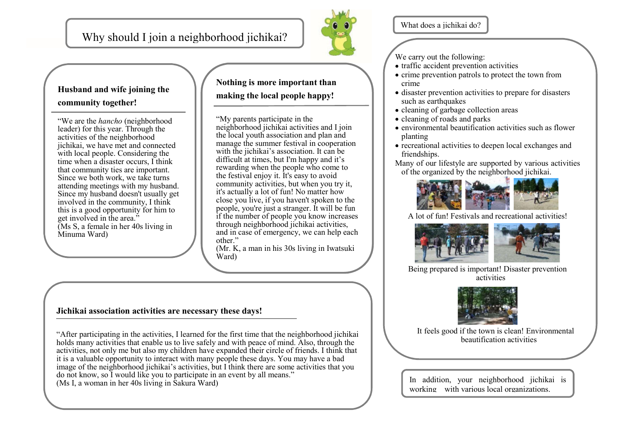Why should I join a neighborhood jichikai?



What does a jichikai do?

We carry out the following:

- traffic accident prevention activities
- $\bullet$  crime prevention patrols to protect the town from crime
- disaster prevention activities to prepare for disasters such as earthquakes
- cleaning of garbage collection areas
- cleaning of roads and parks
- environmental beautification activities such as flower planting
- recreational activities to deepen local exchanges and friendships.

Many of our lifestyle are supported by various activities of the organized by the neighborhood jichikai.



A lot of fun! Festivals and recreational activities!



Being prepared is important! Disaster prevention activities



It feels good if the town is clean! Environmental beautification activities

In addition, your neighborhood jichikai is working with various local organizations.

# **Husband and wife joining the community together!**

"We are the *hancho* (neighborhood leader) for this year. Through the activities of the neighborhood jichikai, we have met and connected with local people. Considering the time when a disaster occurs, I think that community ties are important. Since we both work, we take turns attending meetings with my husband. Since my husband doesn't usually get involved in the community, I think this is a good opportunity for him to get involved in the area." (Ms S, a female in her 40s living in Minuma Ward)

# **Nothing is more important than making the local people happy!**

"My parents participate in the neighborhood jichikai activities and I join the local youth association and plan and manage the summer festival in cooperation with the jichikai's association. It can be difficult at times, but I'm happy and it's rewarding when the people who come to the festival enjoy it. It's easy to avoid community activities, but when you try it, it's actually a lot of fun! No matter how close you live, if you haven't spoken to the people, you're just a stranger. It will be fun if the number of people you know increases through neighborhood jichikai activities, and in case of emergency, we can help each other."

(Mr. K, a man in his 30s living in Iwatsuki Ward)

## **Jichikai association activities are necessary these days!**

"After participating in the activities, I learned for the first time that the neighborhood jichikai holds many activities that enable us to live safely and with peace of mind. Also, through the activities, not only me but also my children have expanded their circle of friends. I think that it is a valuable opportunity to interact with many people these days. You may have a bad image of the neighborhood jichikai's activities, but I think there are some activities that you do not know, so I would like you to participate in an event by all means." (Ms I, a woman in her 40s living in Sakura Ward)